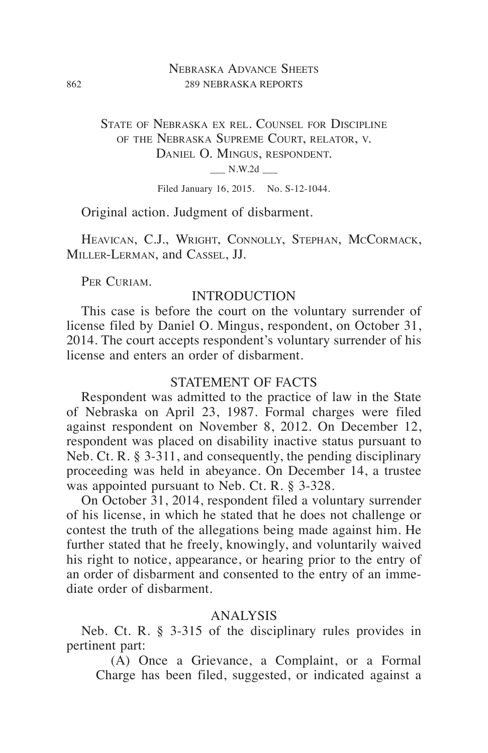## Nebraska Advance Sheets 862 289 NEBRASKA REPORTS

State of Nebraska ex rel. Counsel for Discipline of the Nebraska Supreme Court, relator, v. DANIEL O. MINGUS, RESPONDENT.  $N.W.2d$ 

Filed January 16, 2015. No. S-12-1044.

Original action. Judgment of disbarment.

HEAVICAN, C.J., WRIGHT, CONNOLLY, STEPHAN, MCCORMACK, Miller-Lerman, and Cassel, JJ.

PER CURIAM.

# INTRODUCTION

This case is before the court on the voluntary surrender of license filed by Daniel O. Mingus, respondent, on October 31, 2014. The court accepts respondent's voluntary surrender of his license and enters an order of disbarment.

## STATEMENT OF FACTS

Respondent was admitted to the practice of law in the State of Nebraska on April 23, 1987. Formal charges were filed against respondent on November 8, 2012. On December 12, respondent was placed on disability inactive status pursuant to Neb. Ct. R. § 3-311, and consequently, the pending disciplinary proceeding was held in abeyance. On December 14, a trustee was appointed pursuant to Neb. Ct. R. § 3-328.

On October 31, 2014, respondent filed a voluntary surrender of his license, in which he stated that he does not challenge or contest the truth of the allegations being made against him. He further stated that he freely, knowingly, and voluntarily waived his right to notice, appearance, or hearing prior to the entry of an order of disbarment and consented to the entry of an immediate order of disbarment.

#### ANALYSIS

Neb. Ct. R. § 3-315 of the disciplinary rules provides in pertinent part:

(A) Once a Grievance, a Complaint, or a Formal Charge has been filed, suggested, or indicated against a